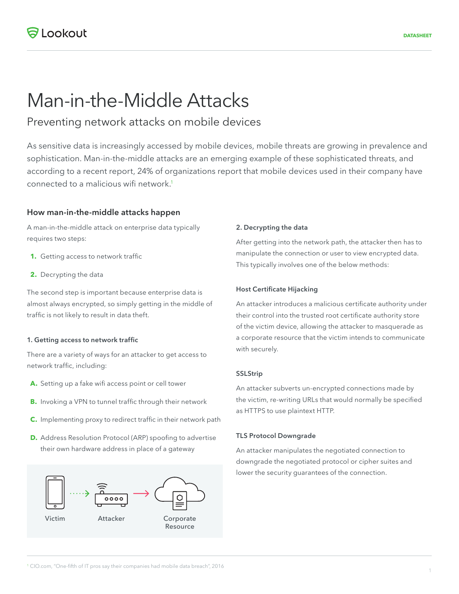# Man-in-the-Middle Attacks

# Preventing network attacks on mobile devices

As sensitive data is increasingly accessed by mobile devices, mobile threats are growing in prevalence and sophistication. Man-in-the-middle attacks are an emerging example of these sophisticated threats, and according to a recent report, 24% of organizations report that mobile devices used in their company have connected to a malicious wifi network.<sup>1</sup>

## **How man-in-the-middle attacks happen**

A man-in-the-middle attack on enterprise data typically requires two steps:

- **1.** Getting access to network traffic
- **2.** Decrypting the data

The second step is important because enterprise data is almost always encrypted, so simply getting in the middle of traffic is not likely to result in data theft.

#### **1. Getting access to network traffic**

There are a variety of ways for an attacker to get access to network traffic, including:

- **A.** Setting up a fake wifi access point or cell tower
- **B.** Invoking a VPN to tunnel traffic through their network
- **C.** Implementing proxy to redirect traffic in their network path
- **D.** Address Resolution Protocol (ARP) spoofing to advertise their own hardware address in place of a gateway



#### **2. Decrypting the data**

After getting into the network path, the attacker then has to manipulate the connection or user to view encrypted data. This typically involves one of the below methods:

#### **Host Certificate Hijacking**

An attacker introduces a malicious certificate authority under their control into the trusted root certificate authority store of the victim device, allowing the attacker to masquerade as a corporate resource that the victim intends to communicate with securely.

#### **SSLStrip**

An attacker subverts un-encrypted connections made by the victim, re-writing URLs that would normally be specified as HTTPS to use plaintext HTTP.

#### **TLS Protocol Downgrade**

An attacker manipulates the negotiated connection to downgrade the negotiated protocol or cipher suites and lower the security guarantees of the connection.